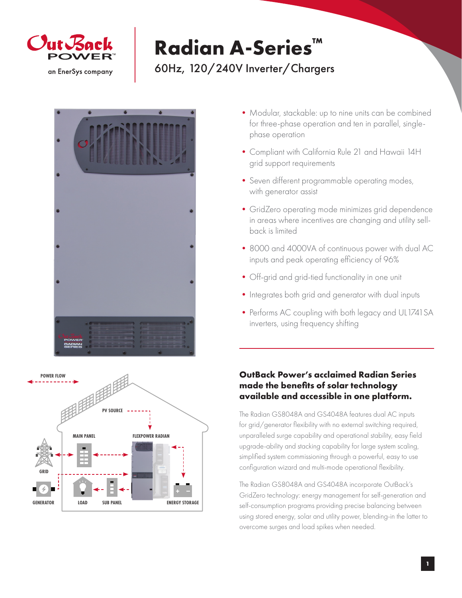

# **Radian A-Series™** 60Hz, 120/240V Inverter/Chargers





- Modular, stackable: up to nine units can be combined for three-phase operation and ten in parallel, singlephase operation
- •Compliant with California Rule 21 and Hawaii 14H grid support requirements
- •Seven different programmable operating modes, with generator assist
- •GridZero operating mode minimizes grid dependence in areas where incentives are changing and utility sellback is limited
- •8000 and 4000VA of continuous power with dual AC inputs and peak operating efficiency of 96%
- Off-grid and grid-tied functionality in one unit
- Integrates both grid and generator with dual inputs
- Performs AC coupling with both legacy and UL1741 SA inverters, using frequency shifting

### **OutBack Power's acclaimed Radian Series made the benefits of solar technology available and accessible in one platform.**

The Radian GS8048A and GS4048A features dual AC inputs for grid/generator flexibility with no external switching required, unparalleled surge capability and operational stability, easy field upgrade-ability and stacking capability for large system scaling, simplified system commissioning through a powerful, easy to use configuration wizard and multi-mode operational flexibility.

The Radian GS8048A and GS4048A incorporate OutBack's GridZero technology: energy management for self-generation and self-consumption programs providing precise balancing between using stored energy, solar and utility power, blending-in the latter to overcome surges and load spikes when needed.